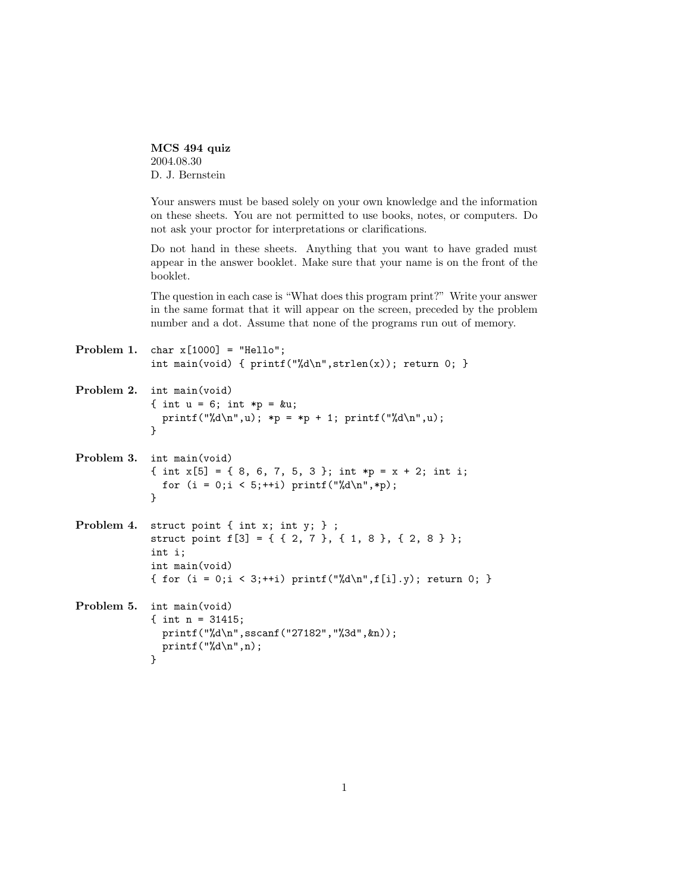MCS 494 quiz 2004.08.30 D. J. Bernstein

Your answers must be based solely on your own knowledge and the information on these sheets. You are not permitted to use books, notes, or computers. Do not ask your proctor for interpretations or clarifications.

Do not hand in these sheets. Anything that you want to have graded must appear in the answer booklet. Make sure that your name is on the front of the booklet.

The question in each case is "What does this program print?" Write your answer in the same format that it will appear on the screen, preceded by the problem number and a dot. Assume that none of the programs run out of memory.

```
Problem 1. char x[1000] = "Hello";
            int main(void) { print("M\nu", strlen(x)); return 0; }
```

```
Problem 2. int main(void)
            { int u = 6; int *p = ku;
              printf("%d\n",u); *p = *p + 1; printf("%d\n",u);
            }
```

```
Problem 3. int main(void)
            { int x[5] = { 8, 6, 7, 5, 3 }; int *p = x + 2; int i;
              for (i = 0; i < 5;++i) printf("%d\n",*p);
            }
```

```
Problem 4. struct point { int x; int y; } ;
            struct point f[3] = { { 2, 7 }, { 1, 8 }, { 2, 8 } };
            int i;
            int main(void)
            { for (i = 0; i < 3;++i) printf("%d\n",f[i].y); return 0; }
```
Problem 5. int main(void) { int n = 31415; printf("%d\n",sscanf("27182","%3d",&n));  $print(f("%d\nu",n);$ }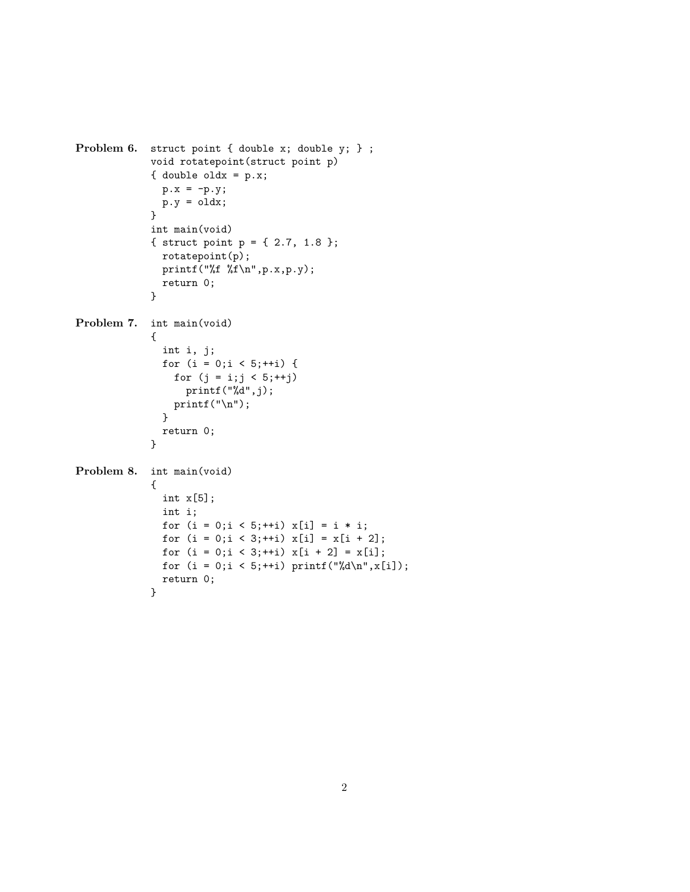```
Problem 6. struct point { double x; double y; } ;
            void rotatepoint(struct point p)
            { double oldx = p.x;
               p.x = -p.y;p.y = oldx;}
            int main(void)
            { struct point p = \{ 2.7, 1.8 \};
              rotatepoint(p);
              printf("%f %f\n",p.x,p.y);
              return 0;
            }
Problem 7. int main(void)
             {
               int i, j;
               for (i = 0; i < 5;++i) {
                 for (j = i; j < 5; ++j)printf("%d",j);
                printf("n");
               }
               return 0;
            }
Problem 8. int main(void)
            {
               int x[5];
               int i;
               for (i = 0; i < 5;++i) x[i] = i * i;for (i = 0; i < 3;++i) x[i] = x[i + 2];for (i = 0; i < 3; ++i) x[i + 2] = x[i];for (i = 0; i < 5;++i) printf("%d\nu", x[i]);return 0;
            }
```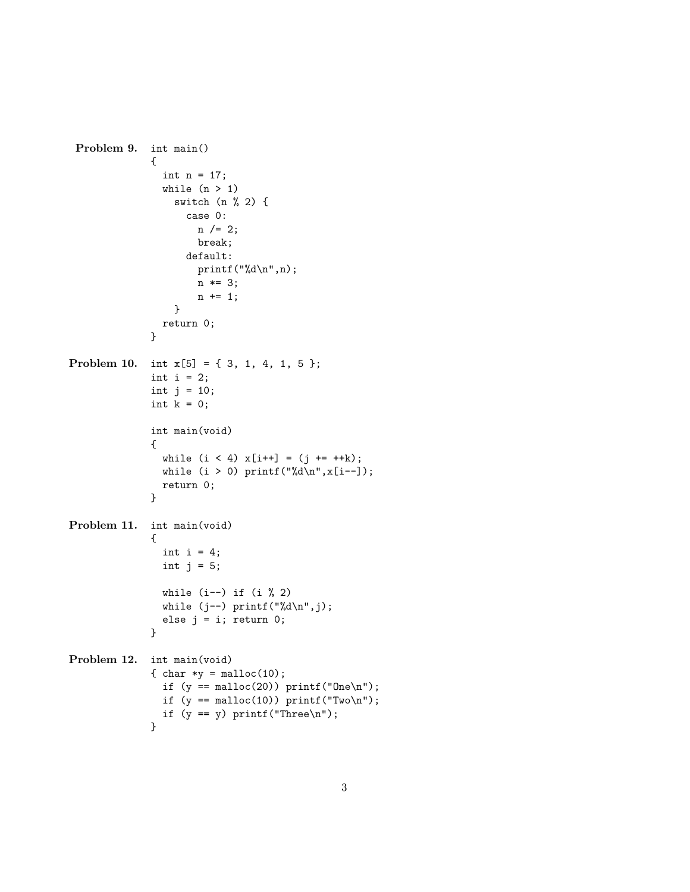```
Problem 9. int main()
              {
                int n = 17;
                while (n > 1)switch (n % 2) {
                    case 0:
                      n /= 2;
                      break;
                    default:
                      printf("%d\n",n);
                      n *= 3;
                      n += 1;
                  }
                return 0;
              }
Problem 10. int x[5] = { 3, 1, 4, 1, 5 };
              int i = 2;
              int j = 10;
              int k = 0;
              int main(void)
              {
                while (i < 4) x[i++] = (j++) + x[i];
                while (i > 0) printf("%d\nu", x[i--]);
                return 0;
              }
Problem 11. int main(void)
              {
                int i = 4;
                int j = 5;
                while (i--) if (i % 2)while (j--) printf("%d\n",j);
                else j = i; return 0;
              }
Problem 12. int main(void)
              { char *y = malloc(10);
                if (y == \text{malloc}(20)) printf("One\n");
                if (y == \text{malloc}(10)) printf("Two\n");
                if (y == y) printf("Three\n\rangle^n);
              }
```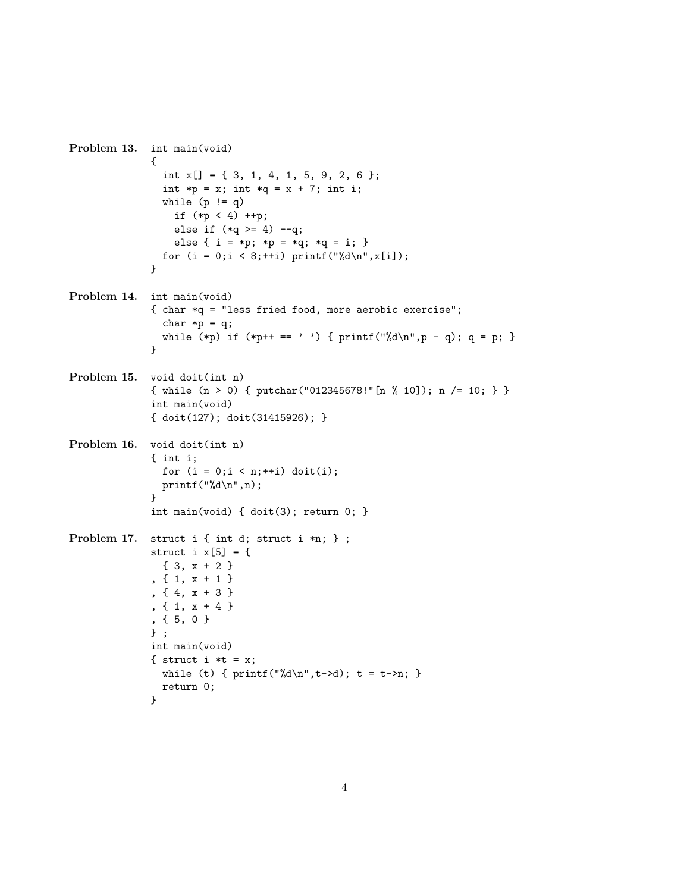```
Problem 13. int main(void)
              {
                int x[] = \{ 3, 1, 4, 1, 5, 9, 2, 6 \};int *p = x; int *q = x + 7; int i;
                while (p != q)if (*p < 4) + p;else if (*q \geq 4) --q;
                  else { i = *p; *p = *q; *q = i; }
                for (i = 0; i < 8;++i) printf("%d\nu",x[i]);}
Problem 14. int main(void)
              { char *q = "less fried food, more aerobic exercise";
                char *p = q;
                while (*p) if (*p++ == ' ' ) { print("%d\nu", p - q); q = p; }
              }
Problem 15. void doit(int n)
              { while (n > 0) { putchar("012345678!"[n % 10]); n /= 10; } }
              int main(void)
              { doit(127); doit(31415926); }
Problem 16. void doit(int n)
              { int i;
                for (i = 0; i < n; ++i) doit(i);printf("%d\nu",n);}
              int main(void) { doit(3); return 0; }
Problem 17. struct i { int d; struct i *n; } ;
              struct i x[5] = \{{ 3, x + 2 }
              , \{ 1, x + 1 \}, { 4, x + 3 }
              , { 1, x + 4 }
              , { 5, 0 }
              } ;
              int main(void)
              { struct i *t = x;
                while (t) { print("%d\nu", t->d); t = t->n; }
                return 0;
              }
```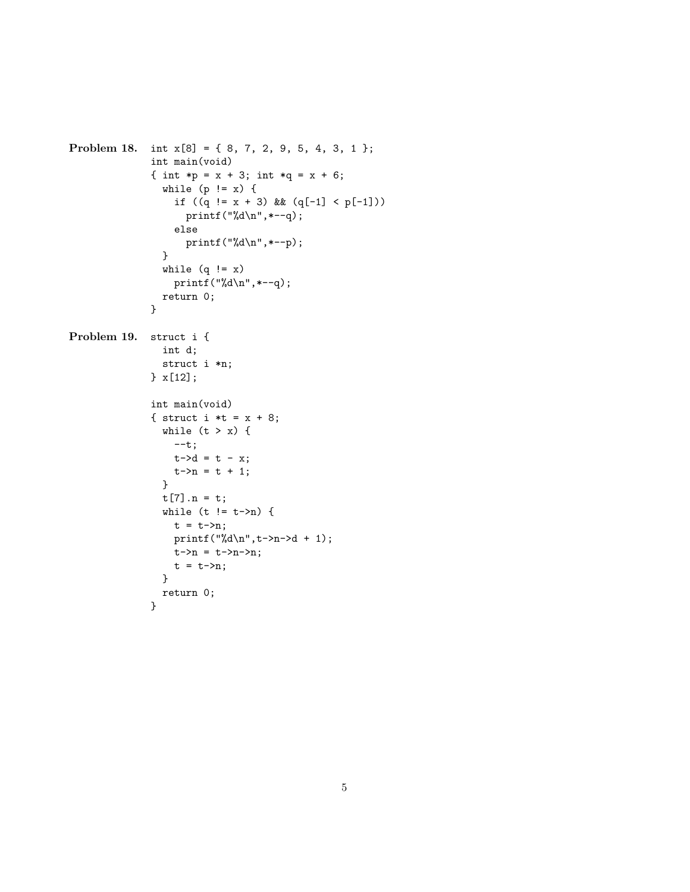```
Problem 18. int x[8] = { 8, 7, 2, 9, 5, 4, 3, 1 };
              int main(void)
              { int *p = x + 3; int *q = x + 6;
                while (p := x) {
                  if ((q := x + 3) \& (q[-1] < p[-1]))printf("%d\n",*--q);
                  else
                    printf("%d\nu", *--p);}
                while (q := x)printf("%d\n", *--q);
                return 0;
              }
Problem 19. struct i {
                int d;
                struct i *n;
              } x[12];
              int main(void)
              { struct i *t = x + 8;
                while (t > x) {
                  --t;t - > d = t - x;t - > n = t + 1;}
                t[7].n = t;
                while (t != t->n) {
                  t = t - \n{2n};
                  printf("%d\n",t->n->d + 1);
                  t - >n = t - >n - >n;t = t - \n{2n};
                }
                return 0;
              }
```